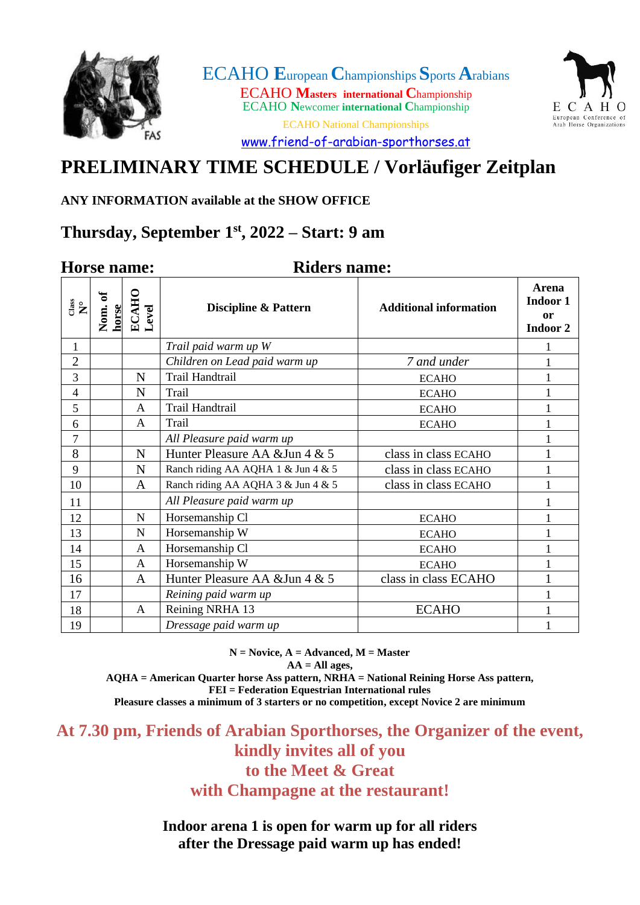

ECAHO **E**uropean **C**hampionships **S**ports**A**rabians ECAHO **Masters international C**hampionship ECAHO **N**ewcomer **international C**hampionship ECAHO National Championships



[www.friend-of-arabian-sporthorses.at](http://www.friend-of-arabian-sporthorses.at/)

# **PRELIMINARY TIME SCHEDULE / Vorläufiger Zeitplan**

### **ANY INFORMATION available at the SHOW OFFICE**

# **Thursday, September 1 st , 2022 – Start: 9 am**

### **Horse name: Riders name:**

| $\overset{\text{e}}{\mathbf{R}}{}^{\circ}$ | Nom. of<br>horse | ECAHO<br>Level | <b>Discipline &amp; Pattern</b>    | <b>Additional information</b> | Arena<br>Indoor 1<br><b>or</b><br>Indoor 2 |
|--------------------------------------------|------------------|----------------|------------------------------------|-------------------------------|--------------------------------------------|
| $\mathbf{1}$                               |                  |                | Trail paid warm up W               |                               | 1                                          |
| $\overline{2}$                             |                  |                | Children on Lead paid warm up      | 7 and under                   | $\mathbf{1}$                               |
| 3                                          |                  | N              | Trail Handtrail                    | <b>ECAHO</b>                  | 1                                          |
| 4                                          |                  | N              | Trail                              | <b>ECAHO</b>                  | $\mathbf{1}$                               |
| 5                                          |                  | A              | Trail Handtrail                    | <b>ECAHO</b>                  | 1                                          |
| 6                                          |                  | $\mathsf{A}$   | Trail                              | <b>ECAHO</b>                  | $\mathbf{1}$                               |
| 7                                          |                  |                | All Pleasure paid warm up          |                               |                                            |
| 8                                          |                  | N              | Hunter Pleasure AA & Jun 4 & 5     | class in class ECAHO          | 1                                          |
| 9                                          |                  | N              | Ranch riding AA AQHA 1 & Jun 4 & 5 | class in class ECAHO          | 1                                          |
| 10                                         |                  | A              | Ranch riding AA AQHA 3 & Jun 4 & 5 | class in class ECAHO          |                                            |
| 11                                         |                  |                | All Pleasure paid warm up          |                               |                                            |
| 12                                         |                  | $\mathbf N$    | Horsemanship Cl                    | <b>ECAHO</b>                  | $\mathbf{1}$                               |
| 13                                         |                  | $\mathbf N$    | Horsemanship W                     | <b>ECAHO</b>                  | 1                                          |
| 14                                         |                  | A              | Horsemanship Cl                    | <b>ECAHO</b>                  | 1                                          |
| 15                                         |                  | A              | Horsemanship W                     | <b>ECAHO</b>                  | 1                                          |
| 16                                         |                  | A              | Hunter Pleasure AA & Jun 4 & 5     | class in class ECAHO          | $\mathbf{1}$                               |
| 17                                         |                  |                | Reining paid warm up               |                               | 1                                          |
| 18                                         |                  | A              | Reining NRHA 13                    | <b>ECAHO</b>                  | $\mathbf 1$                                |
| 19                                         |                  |                | Dressage paid warm up              |                               |                                            |

**N = Novice, A = Advanced, M = Master AA = All ages,** 

**AQHA = American Quarter horse Ass pattern, NRHA = National Reining Horse Ass pattern,** 

**FEI = Federation Equestrian International rules**

**Pleasure classes a minimum of 3 starters or no competition, except Novice 2 are minimum**

**At 7.30 pm, Friends of Arabian Sporthorses, the Organizer of the event, kindly invites all of you to the Meet & Great with Champagne at the restaurant!**

> **Indoor arena 1 is open for warm up for all riders after the Dressage paid warm up has ended!**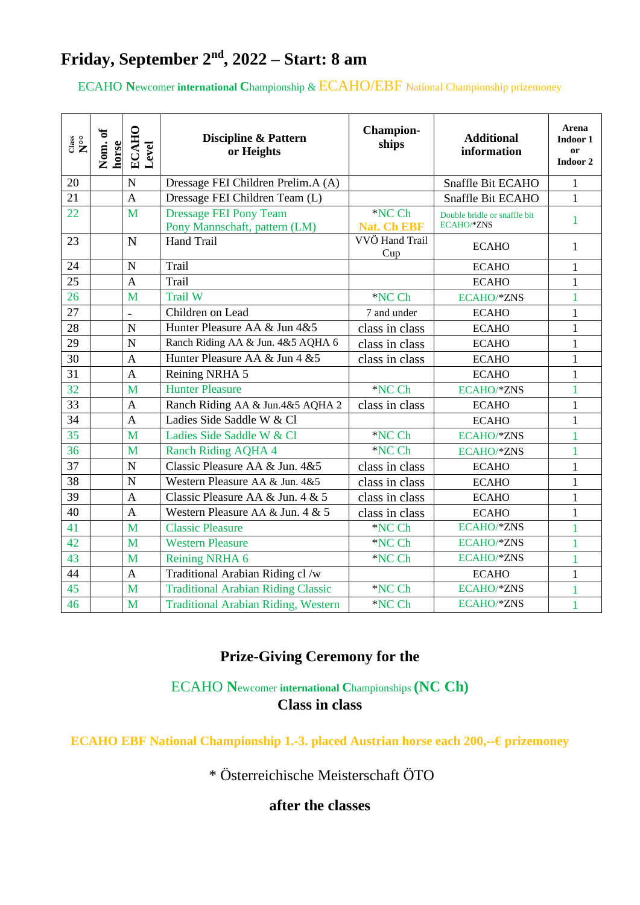# **Friday, September 2 nd, 2022 – Start: 8 am**

### ECAHO **N**ewcomer **international C**hampionship & ECAHO/EBF National Championship prizemoney

| $\overset{\text{cass}}{\mathbf{N}^{\circ}}$ | Nom. of<br>horse | <b>ECAHO</b><br>Level | <b>Discipline &amp; Pattern</b><br>or Heights                  | <b>Champion-</b><br>ships    | <b>Additional</b><br>information           | Arena<br>Indoor 1<br>or<br>Indoor 2 |
|---------------------------------------------|------------------|-----------------------|----------------------------------------------------------------|------------------------------|--------------------------------------------|-------------------------------------|
| 20                                          |                  | $\overline{N}$        | Dressage FEI Children Prelim.A (A)                             |                              | Snaffle Bit ECAHO                          | $\mathbf{1}$                        |
| 21                                          |                  | $\overline{A}$        | Dressage FEI Children Team (L)                                 |                              | Snaffle Bit ECAHO                          | $\mathbf{1}$                        |
| 22                                          |                  | M                     | <b>Dressage FEI Pony Team</b><br>Pony Mannschaft, pattern (LM) | *NC Ch<br><b>Nat. Ch EBF</b> | Double bridle or snaffle bit<br>ECAHO/*ZNS | 1                                   |
| 23                                          |                  | $\mathbf N$           | Hand Trail                                                     | VVÖ Hand Trail<br>Cup        | <b>ECAHO</b>                               | $\mathbf{1}$                        |
| 24                                          |                  | $\mathbf N$           | Trail                                                          |                              | <b>ECAHO</b>                               | $\mathbf{1}$                        |
| 25                                          |                  | A                     | Trail                                                          |                              | <b>ECAHO</b>                               | $\mathbf{1}$                        |
| 26                                          |                  | M                     | Trail W                                                        | *NC Ch                       | ECAHO/*ZNS                                 | 1                                   |
| 27                                          |                  |                       | Children on Lead                                               | 7 and under                  | <b>ECAHO</b>                               | $\mathbf{1}$                        |
| 28                                          |                  | ${\bf N}$             | Hunter Pleasure AA & Jun 4&5                                   | class in class               | <b>ECAHO</b>                               | $\mathbf{1}$                        |
| 29                                          |                  | $\mathbf N$           | Ranch Riding AA & Jun. 4&5 AQHA 6                              | class in class               | <b>ECAHO</b>                               | $\mathbf{1}$                        |
| 30                                          |                  | $\mathbf{A}$          | Hunter Pleasure AA & Jun 4 & 5                                 | class in class               | <b>ECAHO</b>                               | $\mathbf{1}$                        |
| 31                                          |                  | A                     | Reining NRHA 5                                                 |                              | <b>ECAHO</b>                               | $\mathbf{1}$                        |
| 32                                          |                  | M                     | <b>Hunter Pleasure</b>                                         | *NC Ch                       | ECAHO/*ZNS                                 | 1                                   |
| 33                                          |                  | $\overline{A}$        | Ranch Riding AA & Jun.4&5 AQHA 2                               | class in class               | <b>ECAHO</b>                               | $\mathbf{1}$                        |
| 34                                          |                  | A                     | Ladies Side Saddle W & Cl                                      |                              | <b>ECAHO</b>                               | $\mathbf{1}$                        |
| 35                                          |                  | M                     | Ladies Side Saddle W & Cl                                      | *NC Ch                       | ECAHO/*ZNS                                 | $\mathbf{1}$                        |
| 36                                          |                  | M                     | <b>Ranch Riding AQHA 4</b>                                     | *NC Ch                       | ECAHO/*ZNS                                 | 1                                   |
| 37                                          |                  | $\mathbf N$           | Classic Pleasure AA & Jun. 4&5                                 | class in class               | <b>ECAHO</b>                               | $\mathbf{1}$                        |
| 38                                          |                  | $\mathbf N$           | Western Pleasure AA & Jun. 4&5                                 | class in class               | <b>ECAHO</b>                               | $\mathbf{1}$                        |
| 39                                          |                  | A                     | Classic Pleasure AA & Jun. 4 & 5                               | class in class               | <b>ECAHO</b>                               | $\mathbf{1}$                        |
| 40                                          |                  | $\overline{A}$        | Western Pleasure AA & Jun. 4 & 5                               | class in class               | <b>ECAHO</b>                               | $\mathbf{1}$                        |
| 41                                          |                  | M                     | <b>Classic Pleasure</b>                                        | *NC Ch                       | ECAHO/*ZNS                                 | $\mathbf{1}$                        |
| 42                                          |                  | M                     | <b>Western Pleasure</b>                                        | *NC Ch                       | ECAHO/*ZNS                                 | 1                                   |
| 43                                          |                  | M                     | Reining NRHA 6                                                 | *NC Ch                       | ECAHO/*ZNS                                 | 1                                   |
| 44                                          |                  | A                     | Traditional Arabian Riding cl /w                               |                              | <b>ECAHO</b>                               | $\mathbf{1}$                        |
| 45                                          |                  | M                     | <b>Traditional Arabian Riding Classic</b>                      | *NC Ch                       | ECAHO/*ZNS                                 |                                     |
| 46                                          |                  | M                     | <b>Traditional Arabian Riding, Western</b>                     | *NC Ch                       | ECAHO/*ZNS                                 | $\overline{1}$                      |

### **Prize-Giving Ceremony for the**

ECAHO **N**ewcomer **international C**hampionships **(NC Ch) Class in class**

**ECAHO EBF National Championship 1.-3. placed Austrian horse each 200,--€ prizemoney**

\* Österreichische Meisterschaft ÖTO

**after the classes**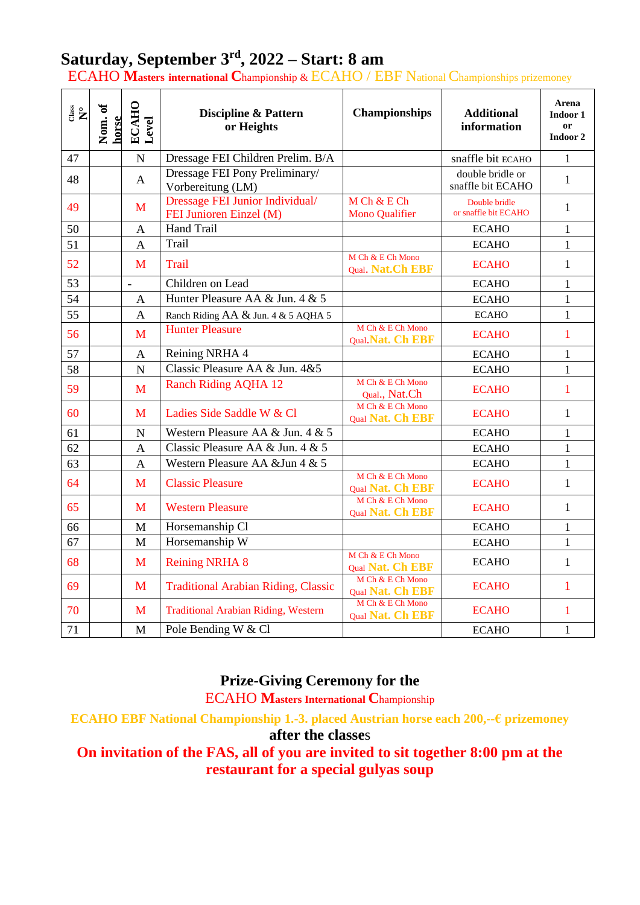# **Saturday, September 3 rd , 2022 – Start: 8 am**

ECAHO **Masters international C**hampionship & ECAHO / EBF National Championships prizemoney

| $\overset{\text{c}}{\mathbf{R}}{}^{\circ}$ | Nom. of<br>horse | ECAHO<br>Level           | <b>Discipline &amp; Pattern</b><br>or Heights              | <b>Championships</b>                  | <b>Additional</b><br>information      | Arena<br>Indoor 1<br><sub>or</sub><br>Indoor 2 |
|--------------------------------------------|------------------|--------------------------|------------------------------------------------------------|---------------------------------------|---------------------------------------|------------------------------------------------|
| 47                                         |                  | $\overline{N}$           | Dressage FEI Children Prelim. B/A                          |                                       | snaffle bit ECAHO                     | 1                                              |
| 48                                         |                  | $\mathbf{A}$             | Dressage FEI Pony Preliminary/<br>Vorbereitung (LM)        |                                       | double bridle or<br>snaffle bit ECAHO | $\mathbf{1}$                                   |
| 49                                         |                  | M                        | Dressage FEI Junior Individual/<br>FEI Junioren Einzel (M) | M Ch & E Ch<br>Mono Qualifier         | Double bridle<br>or snaffle bit ECAHO | $\mathbf{1}$                                   |
| 50                                         |                  | A                        | <b>Hand Trail</b>                                          |                                       | <b>ECAHO</b>                          | 1                                              |
| 51                                         |                  | $\mathbf{A}$             | Trail                                                      |                                       | <b>ECAHO</b>                          | 1                                              |
| 52                                         |                  | M                        | <b>Trail</b>                                               | M Ch & E Ch Mono<br>Qual. Nat.Ch EBF  | <b>ECAHO</b>                          | $\mathbf{1}$                                   |
| 53                                         |                  | $\overline{\phantom{0}}$ | Children on Lead                                           |                                       | <b>ECAHO</b>                          | $\mathbf{1}$                                   |
| 54                                         |                  | $\mathbf{A}$             | Hunter Pleasure AA & Jun. 4 & 5                            |                                       | <b>ECAHO</b>                          | 1                                              |
| 55                                         |                  | $\mathbf{A}$             | Ranch Riding AA & Jun. 4 & 5 AQHA 5                        |                                       | <b>ECAHO</b>                          | 1                                              |
| 56                                         |                  | M                        | <b>Hunter Pleasure</b>                                     | M Ch & E Ch Mono<br>Qual. Nat. Ch EBF | <b>ECAHO</b>                          | 1                                              |
| 57                                         |                  | $\mathbf{A}$             | Reining NRHA 4                                             |                                       | <b>ECAHO</b>                          | 1                                              |
| 58                                         |                  | $\overline{N}$           | Classic Pleasure AA & Jun. 4&5                             |                                       | <b>ECAHO</b>                          | $\mathbf{1}$                                   |
| 59                                         |                  | M                        | <b>Ranch Riding AQHA 12</b>                                | M Ch & E Ch Mono<br>Qual., Nat.Ch     | <b>ECAHO</b>                          | 1                                              |
| 60                                         |                  | M                        | Ladies Side Saddle W & Cl                                  | M Ch & E Ch Mono<br>Qual Nat. Ch EBF  | <b>ECAHO</b>                          | $\mathbf{1}$                                   |
| 61                                         |                  | $\overline{N}$           | Western Pleasure AA & Jun. 4 & 5                           |                                       | <b>ECAHO</b>                          | $\mathbf{1}$                                   |
| 62                                         |                  | $\overline{A}$           | Classic Pleasure AA & Jun. 4 & 5                           |                                       | <b>ECAHO</b>                          | $\mathbf{1}$                                   |
| 63                                         |                  | $\overline{A}$           | Western Pleasure AA & Jun 4 & 5                            |                                       | <b>ECAHO</b>                          | $\mathbf{1}$                                   |
| 64                                         |                  | M                        | <b>Classic Pleasure</b>                                    | M Ch & E Ch Mono<br>Qual Nat. Ch EBF  | <b>ECAHO</b>                          | $\mathbf{1}$                                   |
| 65                                         |                  | M                        | <b>Western Pleasure</b>                                    | M Ch & E Ch Mono<br>Qual Nat. Ch EBF  | <b>ECAHO</b>                          | 1                                              |
| 66                                         |                  | M                        | Horsemanship Cl                                            |                                       | <b>ECAHO</b>                          | $\mathbf{1}$                                   |
| 67                                         |                  | M                        | Horsemanship W                                             |                                       | <b>ECAHO</b>                          | $\mathbf{1}$                                   |
| 68                                         |                  | M                        | <b>Reining NRHA 8</b>                                      | M Ch & E Ch Mono<br>Qual Nat. Ch EBF  | <b>ECAHO</b>                          | $\mathbf{1}$                                   |
| 69                                         |                  | M                        | <b>Traditional Arabian Riding, Classic</b>                 | M Ch & E Ch Mono<br>Qual Nat. Ch EBF  | <b>ECAHO</b>                          | $\mathbf{1}$                                   |
| 70                                         |                  | M                        | <b>Traditional Arabian Riding, Western</b>                 | M Ch & E Ch Mono<br>Qual Nat. Ch EBF  | <b>ECAHO</b>                          | 1                                              |
| 71                                         |                  | M                        | Pole Bending W & Cl                                        |                                       | <b>ECAHO</b>                          | $\mathbf{1}$                                   |

## **Prize-Giving Ceremony for the**

ECAHO **Masters International C**hampionship

**ECAHO EBF National Championship 1.-3. placed Austrian horse each 200,--€ prizemoney**

### **after the classe**s

**On invitation of the FAS, all of you are invited to sit together 8:00 pm at the restaurant for a special gulyas soup**